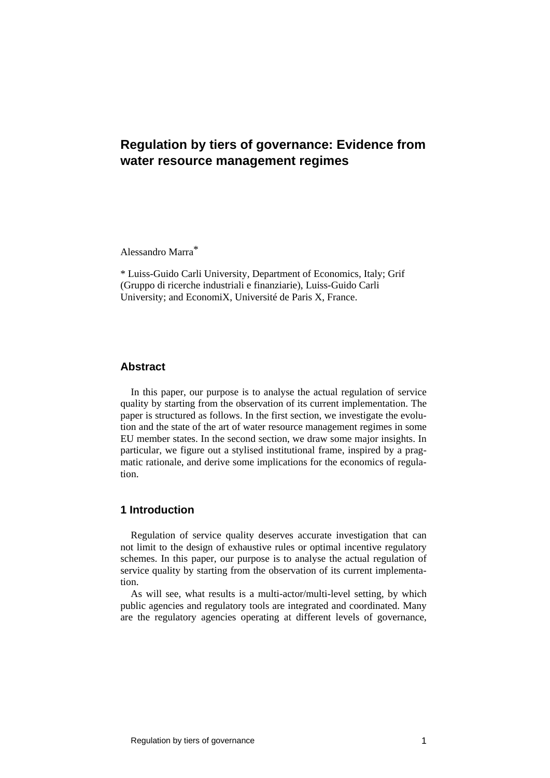# **Regulation by tiers of governance: Evidence from water resource management regimes**

Alessandro Marra\*

\* Luiss-Guido Carli University, Department of Economics, Italy; Grif (Gruppo di ricerche industriali e finanziarie), Luiss-Guido Carli University; and EconomiX, Université de Paris X, France.

## **Abstract**

In this paper, our purpose is to analyse the actual regulation of service quality by starting from the observation of its current implementation. The paper is structured as follows. In the first section, we investigate the evolution and the state of the art of water resource management regimes in some EU member states. In the second section, we draw some major insights. In particular, we figure out a stylised institutional frame, inspired by a pragmatic rationale, and derive some implications for the economics of regulation.

## **1 Introduction**

Regulation of service quality deserves accurate investigation that can not limit to the design of exhaustive rules or optimal incentive regulatory schemes. In this paper, our purpose is to analyse the actual regulation of service quality by starting from the observation of its current implementation.

As will see, what results is a multi-actor/multi-level setting, by which public agencies and regulatory tools are integrated and coordinated. Many are the regulatory agencies operating at different levels of governance,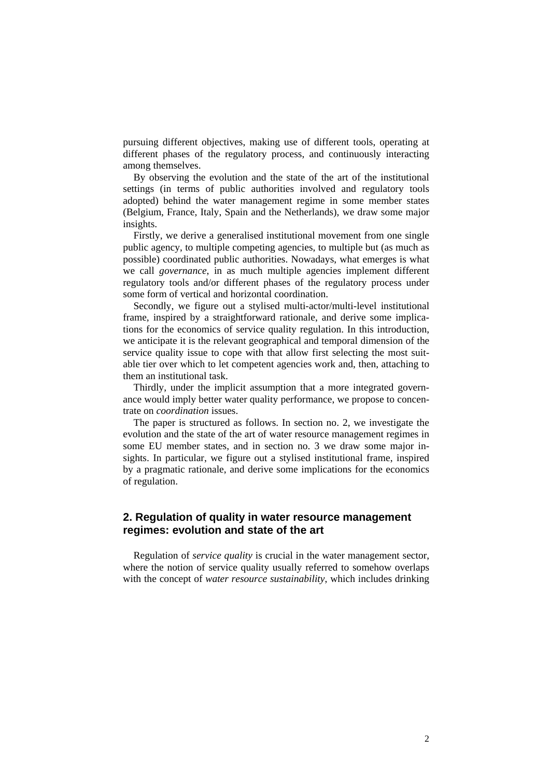pursuing different objectives, making use of different tools, operating at different phases of the regulatory process, and continuously interacting among themselves.

By observing the evolution and the state of the art of the institutional settings (in terms of public authorities involved and regulatory tools adopted) behind the water management regime in some member states (Belgium, France, Italy, Spain and the Netherlands), we draw some major insights.

Firstly, we derive a generalised institutional movement from one single public agency, to multiple competing agencies, to multiple but (as much as possible) coordinated public authorities. Nowadays, what emerges is what we call *governance*, in as much multiple agencies implement different regulatory tools and/or different phases of the regulatory process under some form of vertical and horizontal coordination.

Secondly, we figure out a stylised multi-actor/multi-level institutional frame, inspired by a straightforward rationale, and derive some implications for the economics of service quality regulation. In this introduction, we anticipate it is the relevant geographical and temporal dimension of the service quality issue to cope with that allow first selecting the most suitable tier over which to let competent agencies work and, then, attaching to them an institutional task.

Thirdly, under the implicit assumption that a more integrated governance would imply better water quality performance, we propose to concentrate on *coordination* issues.

The paper is structured as follows. In section no. 2, we investigate the evolution and the state of the art of water resource management regimes in some EU member states, and in section no. 3 we draw some major insights. In particular, we figure out a stylised institutional frame, inspired by a pragmatic rationale, and derive some implications for the economics of regulation.

# **2. Regulation of quality in water resource management regimes: evolution and state of the art**

Regulation of *service quality* is crucial in the water management sector, where the notion of service quality usually referred to somehow overlaps with the concept of *water resource sustainability*, which includes drinking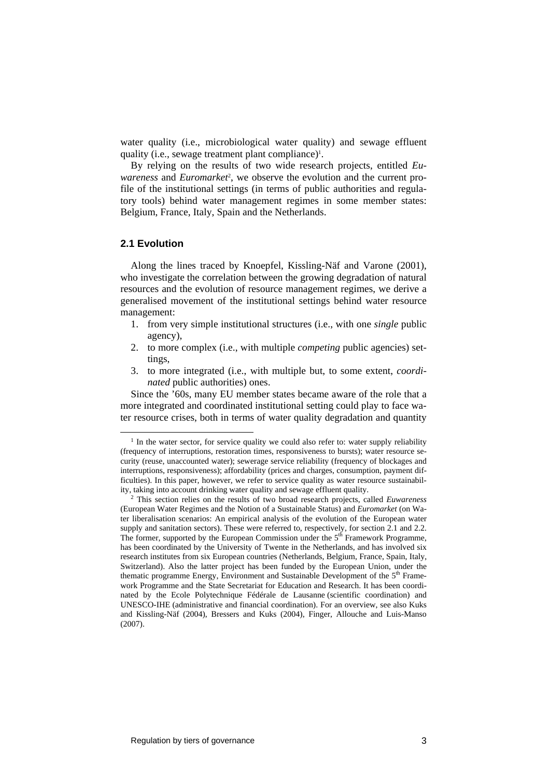water quality (i.e., microbiological water quality) and sewage effluent quality (i.e., sewage treatment plant compliance)<sup>1</sup>.

By relying on the results of two wide research projects, entitled *Euwareness* and *Euromarket*2, we observe the evolution and the current profile of the institutional settings (in terms of public authorities and regulatory tools) behind water management regimes in some member states: Belgium, France, Italy, Spain and the Netherlands.

#### **2.1 Evolution**

Along the lines traced by Knoepfel, Kissling-Näf and Varone (2001), who investigate the correlation between the growing degradation of natural resources and the evolution of resource management regimes, we derive a generalised movement of the institutional settings behind water resource management:

- 1. from very simple institutional structures (i.e., with one *single* public agency),
- 2. to more complex (i.e., with multiple *competing* public agencies) settings,
- 3. to more integrated (i.e., with multiple but, to some extent, *coordinated* public authorities) ones.

Since the '60s, many EU member states became aware of the role that a more integrated and coordinated institutional setting could play to face water resource crises, both in terms of water quality degradation and quantity

<sup>&</sup>lt;sup>1</sup> In the water sector, for service quality we could also refer to: water supply reliability (frequency of interruptions, restoration times, responsiveness to bursts); water resource security (reuse, unaccounted water); sewerage service reliability (frequency of blockages and interruptions, responsiveness); affordability (prices and charges, consumption, payment difficulties). In this paper, however, we refer to service quality as water resource sustainability, taking into account drinking water quality and sewage effluent quality. 2 This section relies on the results of two broad research projects, called *Euwareness*

<sup>(</sup>European Water Regimes and the Notion of a Sustainable Status) and *Euromarket* (on Water liberalisation scenarios: An empirical analysis of the evolution of the European water supply and sanitation sectors). These were referred to, respectively, for section 2.1 and 2.2. The former, supported by the European Commission under the 5<sup>th</sup> Framework Programme, has been coordinated by the University of Twente in the Netherlands, and has involved six research institutes from six European countries (Netherlands, Belgium, France, Spain, Italy, Switzerland). Also the latter project has been funded by the European Union, under the thematic programme Energy, Environment and Sustainable Development of the 5<sup>th</sup> Framework Programme and the State Secretariat for Education and Research. It has been coordinated by the Ecole Polytechnique Fédérale de Lausanne (scientific coordination) and UNESCO-IHE (administrative and financial coordination). For an overview, see also Kuks and Kissling-Näf (2004), Bressers and Kuks (2004), Finger, Allouche and Luis-Manso  $(2007)$ .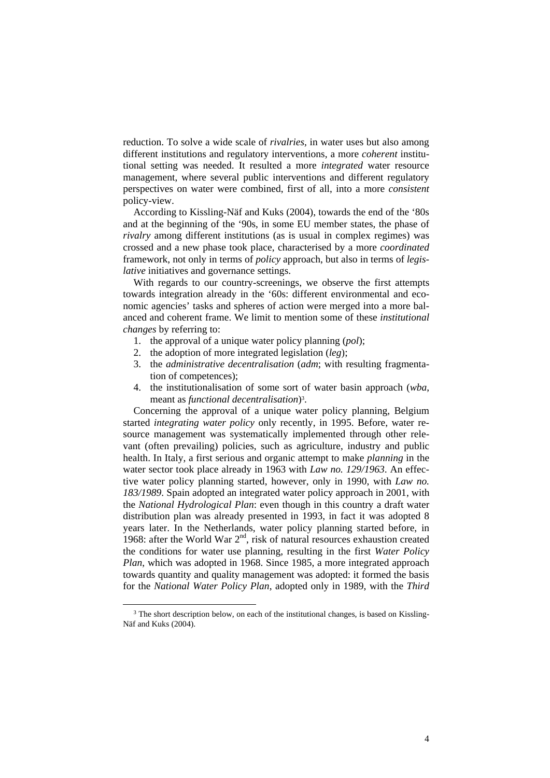reduction. To solve a wide scale of *rivalries*, in water uses but also among different institutions and regulatory interventions, a more *coherent* institutional setting was needed. It resulted a more *integrated* water resource management, where several public interventions and different regulatory perspectives on water were combined, first of all, into a more *consistent* policy-view.

According to Kissling-Näf and Kuks (2004), towards the end of the '80s and at the beginning of the '90s, in some EU member states, the phase of *rivalry* among different institutions (as is usual in complex regimes) was crossed and a new phase took place, characterised by a more *coordinated* framework, not only in terms of *policy* approach, but also in terms of *legislative* initiatives and governance settings.

With regards to our country-screenings, we observe the first attempts towards integration already in the '60s: different environmental and economic agencies' tasks and spheres of action were merged into a more balanced and coherent frame. We limit to mention some of these *institutional changes* by referring to:

- 1. the approval of a unique water policy planning (*pol*);
- 2. the adoption of more integrated legislation (*leg*);
- 3. the *administrative decentralisation* (*adm*; with resulting fragmentation of competences);
- 4. the institutionalisation of some sort of water basin approach (*wba*, meant as *functional decentralisation*)3.

Concerning the approval of a unique water policy planning, Belgium started *integrating water policy* only recently, in 1995. Before, water resource management was systematically implemented through other relevant (often prevailing) policies, such as agriculture, industry and public health. In Italy, a first serious and organic attempt to make *planning* in the water sector took place already in 1963 with *Law no. 129/1963*. An effective water policy planning started, however, only in 1990, with *Law no. 183/1989*. Spain adopted an integrated water policy approach in 2001, with the *National Hydrological Plan*: even though in this country a draft water distribution plan was already presented in 1993, in fact it was adopted 8 years later. In the Netherlands, water policy planning started before, in 1968: after the World War  $2<sup>nd</sup>$ , risk of natural resources exhaustion created the conditions for water use planning, resulting in the first *Water Policy Plan*, which was adopted in 1968. Since 1985, a more integrated approach towards quantity and quality management was adopted: it formed the basis for the *National Water Policy Plan*, adopted only in 1989, with the *Third* 

<sup>&</sup>lt;sup>3</sup> The short description below, on each of the institutional changes, is based on Kissling-Näf and Kuks (2004).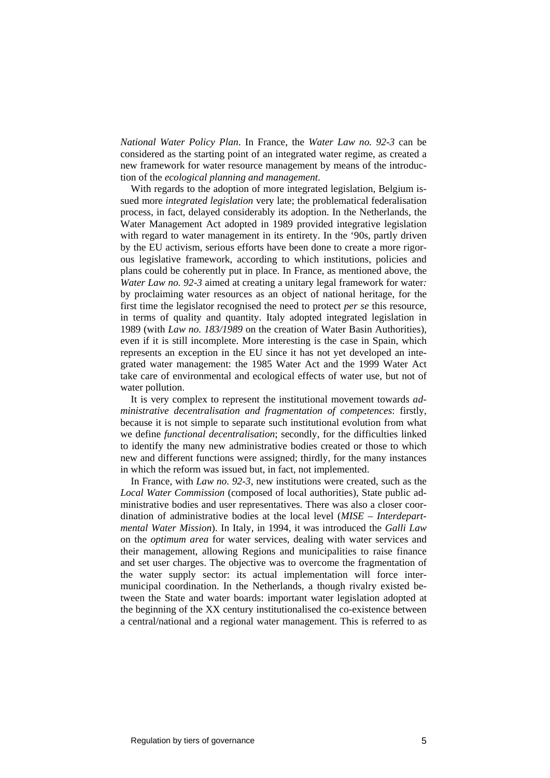*National Water Policy Plan*. In France, the *Water Law no. 92-3* can be considered as the starting point of an integrated water regime, as created a new framework for water resource management by means of the introduction of the *ecological planning and management*.

With regards to the adoption of more integrated legislation. Belgium issued more *integrated legislation* very late; the problematical federalisation process, in fact, delayed considerably its adoption. In the Netherlands, the Water Management Act adopted in 1989 provided integrative legislation with regard to water management in its entirety. In the '90s, partly driven by the EU activism, serious efforts have been done to create a more rigorous legislative framework, according to which institutions, policies and plans could be coherently put in place. In France, as mentioned above, the *Water Law no. 92-3* aimed at creating a unitary legal framework for water*:*  by proclaiming water resources as an object of national heritage, for the first time the legislator recognised the need to protect *per se* this resource, in terms of quality and quantity. Italy adopted integrated legislation in 1989 (with *Law no. 183/1989* on the creation of Water Basin Authorities), even if it is still incomplete. More interesting is the case in Spain, which represents an exception in the EU since it has not yet developed an integrated water management: the 1985 Water Act and the 1999 Water Act take care of environmental and ecological effects of water use, but not of water pollution.

It is very complex to represent the institutional movement towards *administrative decentralisation and fragmentation of competences*: firstly, because it is not simple to separate such institutional evolution from what we define *functional decentralisation*; secondly, for the difficulties linked to identify the many new administrative bodies created or those to which new and different functions were assigned; thirdly, for the many instances in which the reform was issued but, in fact, not implemented.

In France, with *Law no. 92-3*, new institutions were created, such as the *Local Water Commission* (composed of local authorities), State public administrative bodies and user representatives. There was also a closer coordination of administrative bodies at the local level (*MISE – Interdepartmental Water Mission*). In Italy, in 1994, it was introduced the *Galli Law* on the *optimum area* for water services, dealing with water services and their management, allowing Regions and municipalities to raise finance and set user charges. The objective was to overcome the fragmentation of the water supply sector: its actual implementation will force intermunicipal coordination. In the Netherlands, a though rivalry existed between the State and water boards: important water legislation adopted at the beginning of the XX century institutionalised the co-existence between a central/national and a regional water management. This is referred to as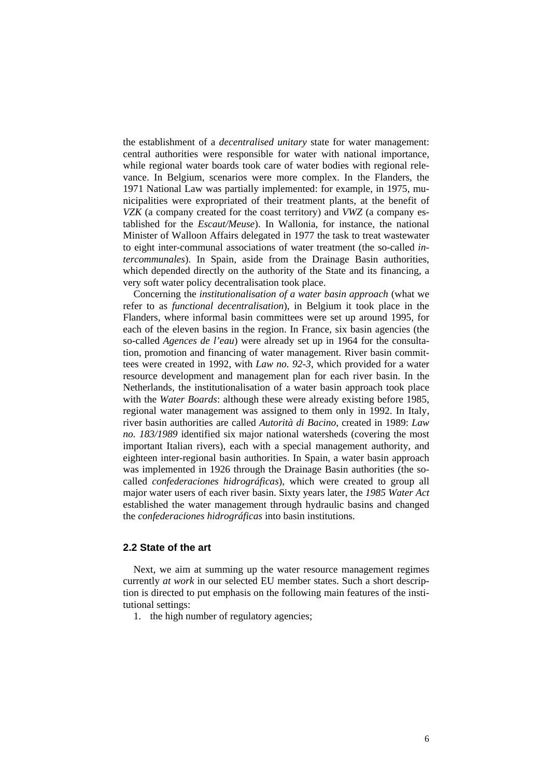the establishment of a *decentralised unitary* state for water management: central authorities were responsible for water with national importance, while regional water boards took care of water bodies with regional relevance. In Belgium, scenarios were more complex. In the Flanders, the 1971 National Law was partially implemented: for example, in 1975, municipalities were expropriated of their treatment plants, at the benefit of *VZK* (a company created for the coast territory) and *VWZ* (a company established for the *Escaut/Meuse*). In Wallonia, for instance, the national Minister of Walloon Affairs delegated in 1977 the task to treat wastewater to eight inter-communal associations of water treatment (the so-called *intercommunales*). In Spain, aside from the Drainage Basin authorities, which depended directly on the authority of the State and its financing, a very soft water policy decentralisation took place.

Concerning the *institutionalisation of a water basin approach* (what we refer to as *functional decentralisation*), in Belgium it took place in the Flanders, where informal basin committees were set up around 1995, for each of the eleven basins in the region. In France, six basin agencies (the so-called *Agences de l'eau*) were already set up in 1964 for the consultation, promotion and financing of water management. River basin committees were created in 1992, with *Law no. 92-3*, which provided for a water resource development and management plan for each river basin. In the Netherlands, the institutionalisation of a water basin approach took place with the *Water Boards*: although these were already existing before 1985, regional water management was assigned to them only in 1992. In Italy, river basin authorities are called *Autorità di Bacino*, created in 1989: *Law no. 183/1989* identified six major national watersheds (covering the most important Italian rivers), each with a special management authority, and eighteen inter-regional basin authorities. In Spain, a water basin approach was implemented in 1926 through the Drainage Basin authorities (the socalled *confederaciones hidrográficas*), which were created to group all major water users of each river basin. Sixty years later, the *1985 Water Act* established the water management through hydraulic basins and changed the *confederaciones hidrográficas* into basin institutions.

#### **2.2 State of the art**

Next, we aim at summing up the water resource management regimes currently *at work* in our selected EU member states. Such a short description is directed to put emphasis on the following main features of the institutional settings:

1. the high number of regulatory agencies;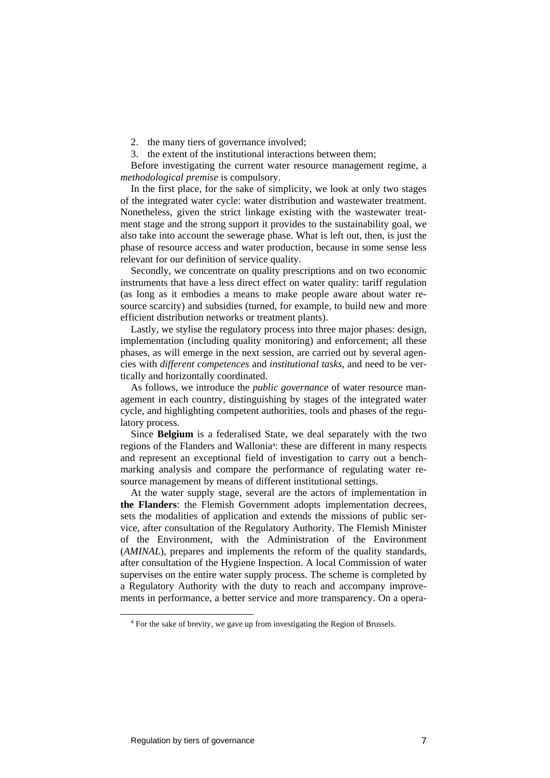2. the many tiers of governance involved;

3. the extent of the institutional interactions between them;

Before investigating the current water resource management regime, a *methodological premise* is compulsory.

In the first place, for the sake of simplicity, we look at only two stages of the integrated water cycle: water distribution and wastewater treatment. Nonetheless, given the strict linkage existing with the wastewater treatment stage and the strong support it provides to the sustainability goal, we also take into account the sewerage phase. What is left out, then, is just the phase of resource access and water production, because in some sense less relevant for our definition of service quality.

Secondly, we concentrate on quality prescriptions and on two economic instruments that have a less direct effect on water quality: tariff regulation (as long as it embodies a means to make people aware about water resource scarcity) and subsidies (turned, for example, to build new and more efficient distribution networks or treatment plants).

Lastly, we stylise the regulatory process into three major phases: design, implementation (including quality monitoring) and enforcement; all these phases, as will emerge in the next session, are carried out by several agencies with *different competences* and *institutional tasks*, and need to be vertically and horizontally coordinated.

As follows, we introduce the *public governance* of water resource management in each country, distinguishing by stages of the integrated water cycle, and highlighting competent authorities, tools and phases of the regulatory process.

Since **Belgium** is a federalised State, we deal separately with the two regions of the Flanders and Wallonia4: these are different in many respects and represent an exceptional field of investigation to carry out a benchmarking analysis and compare the performance of regulating water resource management by means of different institutional settings.

At the water supply stage, several are the actors of implementation in **the Flanders**: the Flemish Government adopts implementation decrees, sets the modalities of application and extends the missions of public service, after consultation of the Regulatory Authority. The Flemish Minister of the Environment, with the Administration of the Environment (*AMINAL*), prepares and implements the reform of the quality standards, after consultation of the Hygiene Inspection. A local Commission of water supervises on the entire water supply process. The scheme is completed by a Regulatory Authority with the duty to reach and accompany improvements in performance, a better service and more transparency. On a opera-

 <sup>4</sup> For the sake of brevity, we gave up from investigating the Region of Brussels.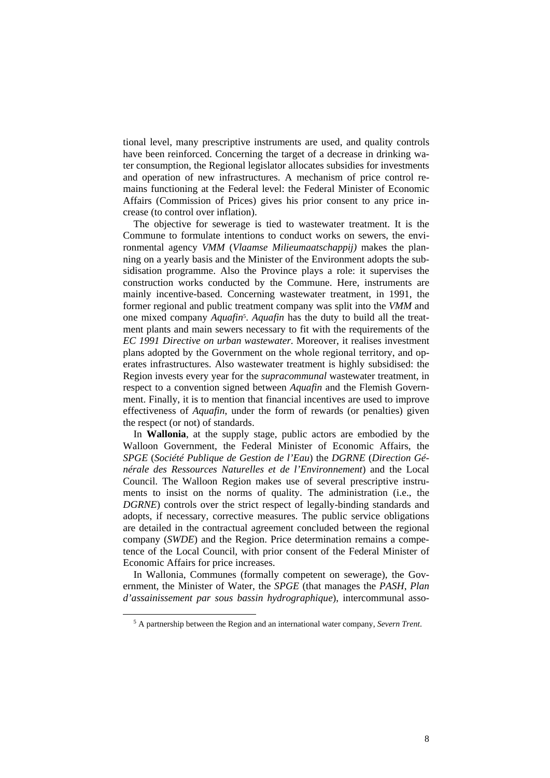tional level, many prescriptive instruments are used, and quality controls have been reinforced. Concerning the target of a decrease in drinking water consumption, the Regional legislator allocates subsidies for investments and operation of new infrastructures. A mechanism of price control remains functioning at the Federal level: the Federal Minister of Economic Affairs (Commission of Prices) gives his prior consent to any price increase (to control over inflation).

The objective for sewerage is tied to wastewater treatment. It is the Commune to formulate intentions to conduct works on sewers, the environmental agency *VMM* (*Vlaamse Milieumaatschappij)* makes the planning on a yearly basis and the Minister of the Environment adopts the subsidisation programme. Also the Province plays a role: it supervises the construction works conducted by the Commune. Here, instruments are mainly incentive-based. Concerning wastewater treatment, in 1991, the former regional and public treatment company was split into the *VMM* and one mixed company *Aquafin*5. *Aquafin* has the duty to build all the treatment plants and main sewers necessary to fit with the requirements of the *EC 1991 Directive on urban wastewater*. Moreover, it realises investment plans adopted by the Government on the whole regional territory, and operates infrastructures. Also wastewater treatment is highly subsidised: the Region invests every year for the *supracommunal* wastewater treatment, in respect to a convention signed between *Aquafin* and the Flemish Government. Finally, it is to mention that financial incentives are used to improve effectiveness of *Aquafin*, under the form of rewards (or penalties) given the respect (or not) of standards.

In **Wallonia**, at the supply stage, public actors are embodied by the Walloon Government, the Federal Minister of Economic Affairs, the *SPGE* (*Société Publique de Gestion de l'Eau*) the *DGRNE* (*Direction Générale des Ressources Naturelles et de l'Environnement*) and the Local Council. The Walloon Region makes use of several prescriptive instruments to insist on the norms of quality. The administration (i.e., the *DGRNE*) controls over the strict respect of legally-binding standards and adopts, if necessary, corrective measures. The public service obligations are detailed in the contractual agreement concluded between the regional company (*SWDE*) and the Region. Price determination remains a competence of the Local Council, with prior consent of the Federal Minister of Economic Affairs for price increases.

In Wallonia, Communes (formally competent on sewerage), the Government, the Minister of Water, the *SPGE* (that manages the *PASH*, *Plan d'assainissement par sous bassin hydrographique*), intercommunal asso-

 <sup>5</sup> A partnership between the Region and an international water company, *Severn Trent*.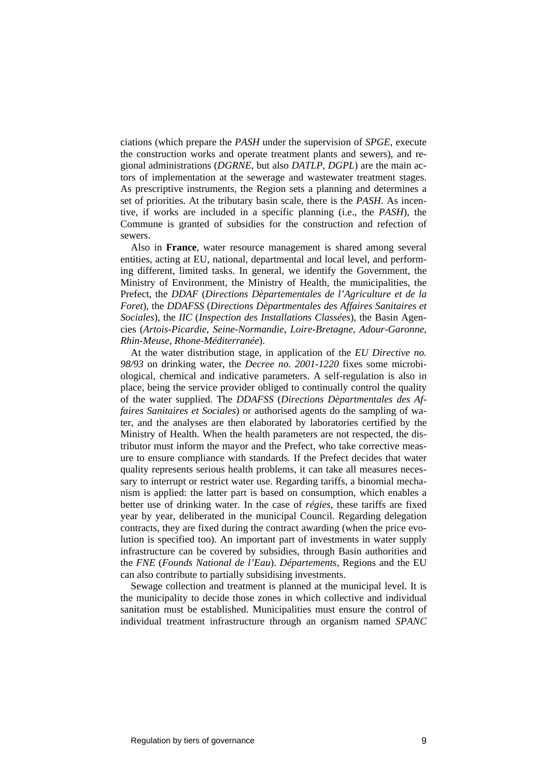ciations (which prepare the *PASH* under the supervision of *SPGE*, execute the construction works and operate treatment plants and sewers), and regional administrations (*DGRNE*, but also *DATLP*, *DGPL*) are the main actors of implementation at the sewerage and wastewater treatment stages. As prescriptive instruments, the Region sets a planning and determines a set of priorities. At the tributary basin scale, there is the *PASH*. As incentive, if works are included in a specific planning (i.e., the *PASH*), the Commune is granted of subsidies for the construction and refection of sewers.

Also in **France**, water resource management is shared among several entities, acting at EU, national, departmental and local level, and performing different, limited tasks. In general, we identify the Government, the Ministry of Environment, the Ministry of Health, the municipalities, the Prefect, the *DDAF* (*Directions Dèpartementales de l'Agriculture et de la Foret*), the *DDAFSS* (*Directions Dèpartmentales des Affaires Sanitaires et Sociales*), the *IIC* (*Inspection des Installations Classées*), the Basin Agencies (*Artois-Picardie*, *Seine-Normandie*, *Loire-Bretagne*, *Adour-Garonne*, *Rhin-Meuse*, *Rhone-Méditerranée*).

At the water distribution stage, in application of the *EU Directive no. 98/93* on drinking water, the *Decree no. 2001-1220* fixes some microbiological, chemical and indicative parameters. A self-regulation is also in place, being the service provider obliged to continually control the quality of the water supplied. The *DDAFSS* (*Directions Dèpartmentales des Affaires Sanitaires et Sociales*) or authorised agents do the sampling of water, and the analyses are then elaborated by laboratories certified by the Ministry of Health. When the health parameters are not respected, the distributor must inform the mayor and the Prefect, who take corrective measure to ensure compliance with standards. If the Prefect decides that water quality represents serious health problems, it can take all measures necessary to interrupt or restrict water use. Regarding tariffs, a binomial mechanism is applied: the latter part is based on consumption, which enables a better use of drinking water. In the case of *régies*, these tariffs are fixed year by year, deliberated in the municipal Council. Regarding delegation contracts, they are fixed during the contract awarding (when the price evolution is specified too). An important part of investments in water supply infrastructure can be covered by subsidies, through Basin authorities and the *FNE* (*Founds National de l'Eau*). *Départements*, Regions and the EU can also contribute to partially subsidising investments.

Sewage collection and treatment is planned at the municipal level. It is the municipality to decide those zones in which collective and individual sanitation must be established. Municipalities must ensure the control of individual treatment infrastructure through an organism named *SPANC*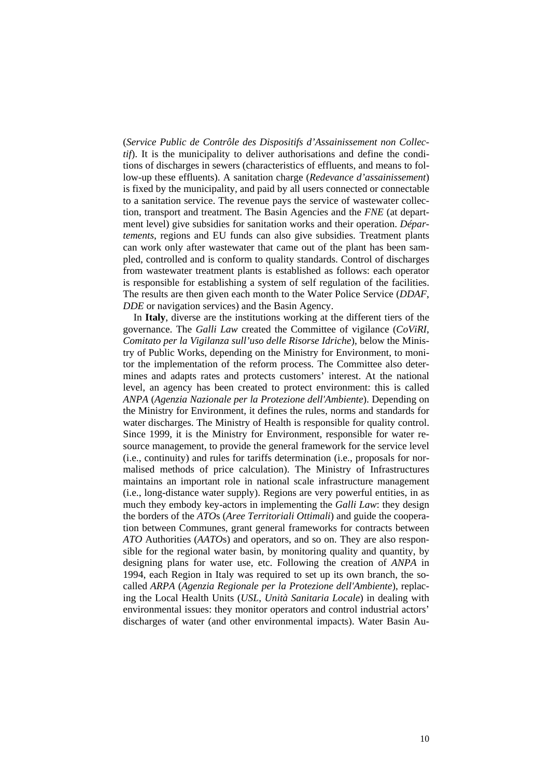(*Service Public de Contrôle des Dispositifs d'Assainissement non Collectif*). It is the municipality to deliver authorisations and define the conditions of discharges in sewers (characteristics of effluents, and means to follow-up these effluents). A sanitation charge (*Redevance d'assainissement*) is fixed by the municipality, and paid by all users connected or connectable to a sanitation service. The revenue pays the service of wastewater collection, transport and treatment. The Basin Agencies and the *FNE* (at department level) give subsidies for sanitation works and their operation. *Départements*, regions and EU funds can also give subsidies. Treatment plants can work only after wastewater that came out of the plant has been sampled, controlled and is conform to quality standards. Control of discharges from wastewater treatment plants is established as follows: each operator is responsible for establishing a system of self regulation of the facilities. The results are then given each month to the Water Police Service (*DDAF*, *DDE* or navigation services) and the Basin Agency.

In **Italy**, diverse are the institutions working at the different tiers of the governance. The *Galli Law* created the Committee of vigilance (*CoViRI*, *Comitato per la Vigilanza sull'uso delle Risorse Idriche*), below the Ministry of Public Works, depending on the Ministry for Environment, to monitor the implementation of the reform process. The Committee also determines and adapts rates and protects customers' interest. At the national level, an agency has been created to protect environment: this is called *ANPA* (*Agenzia Nazionale per la Protezione dell'Ambiente*). Depending on the Ministry for Environment, it defines the rules, norms and standards for water discharges. The Ministry of Health is responsible for quality control. Since 1999, it is the Ministry for Environment, responsible for water resource management, to provide the general framework for the service level (i.e., continuity) and rules for tariffs determination (i.e., proposals for normalised methods of price calculation). The Ministry of Infrastructures maintains an important role in national scale infrastructure management (i.e., long-distance water supply). Regions are very powerful entities, in as much they embody key-actors in implementing the *Galli Law*: they design the borders of the *ATO*s (*Aree Territoriali Ottimali*) and guide the cooperation between Communes, grant general frameworks for contracts between *ATO* Authorities (*AATO*s) and operators, and so on. They are also responsible for the regional water basin, by monitoring quality and quantity, by designing plans for water use, etc. Following the creation of *ANPA* in 1994, each Region in Italy was required to set up its own branch, the socalled *ARPA* (*Agenzia Regionale per la Protezione dell'Ambiente*), replacing the Local Health Units (*USL*, *Unità Sanitaria Locale*) in dealing with environmental issues: they monitor operators and control industrial actors' discharges of water (and other environmental impacts). Water Basin Au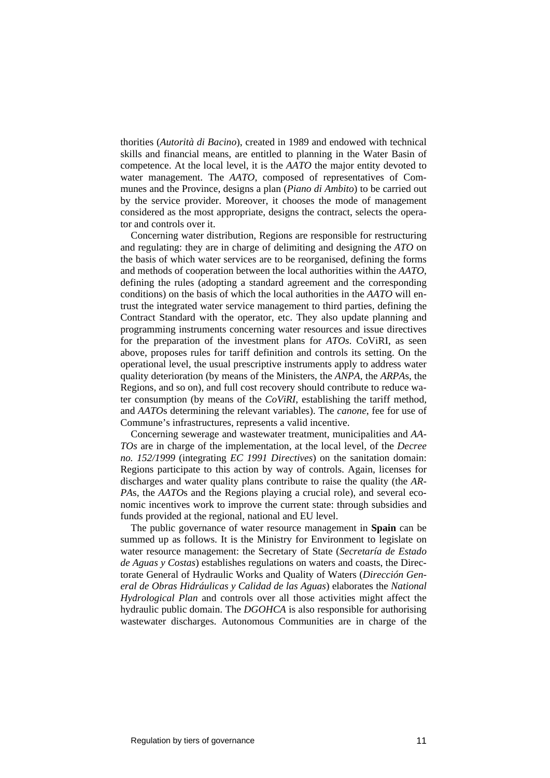thorities (*Autorità di Bacino*), created in 1989 and endowed with technical skills and financial means, are entitled to planning in the Water Basin of competence. At the local level, it is the *AATO* the major entity devoted to water management. The *AATO*, composed of representatives of Communes and the Province, designs a plan (*Piano di Ambito*) to be carried out by the service provider. Moreover, it chooses the mode of management considered as the most appropriate, designs the contract, selects the operator and controls over it.

Concerning water distribution, Regions are responsible for restructuring and regulating: they are in charge of delimiting and designing the *ATO* on the basis of which water services are to be reorganised, defining the forms and methods of cooperation between the local authorities within the *AATO*, defining the rules (adopting a standard agreement and the corresponding conditions) on the basis of which the local authorities in the *AATO* will entrust the integrated water service management to third parties, defining the Contract Standard with the operator, etc. They also update planning and programming instruments concerning water resources and issue directives for the preparation of the investment plans for *ATOs*. CoViRI, as seen above, proposes rules for tariff definition and controls its setting. On the operational level, the usual prescriptive instruments apply to address water quality deterioration (by means of the Ministers, the *ANPA*, the *ARPA*s, the Regions, and so on), and full cost recovery should contribute to reduce water consumption (by means of the *CoViRI*, establishing the tariff method, and *AATO*s determining the relevant variables). The *canone*, fee for use of Commune's infrastructures, represents a valid incentive.

Concerning sewerage and wastewater treatment, municipalities and *AA-TOs* are in charge of the implementation, at the local level, of the *Decree no. 152/1999* (integrating *EC 1991 Directives*) on the sanitation domain: Regions participate to this action by way of controls. Again, licenses for discharges and water quality plans contribute to raise the quality (the *AR-PA*s, the *AATO*s and the Regions playing a crucial role), and several economic incentives work to improve the current state: through subsidies and funds provided at the regional, national and EU level.

The public governance of water resource management in **Spain** can be summed up as follows. It is the Ministry for Environment to legislate on water resource management: the Secretary of State (*Secretaría de Estado de Aguas y Costas*) establishes regulations on waters and coasts, the Directorate General of Hydraulic Works and Quality of Waters (*Dirección General de Obras Hidráulicas y Calidad de las Aguas*) elaborates the *National Hydrological Plan* and controls over all those activities might affect the hydraulic public domain. The *DGOHCA* is also responsible for authorising wastewater discharges. Autonomous Communities are in charge of the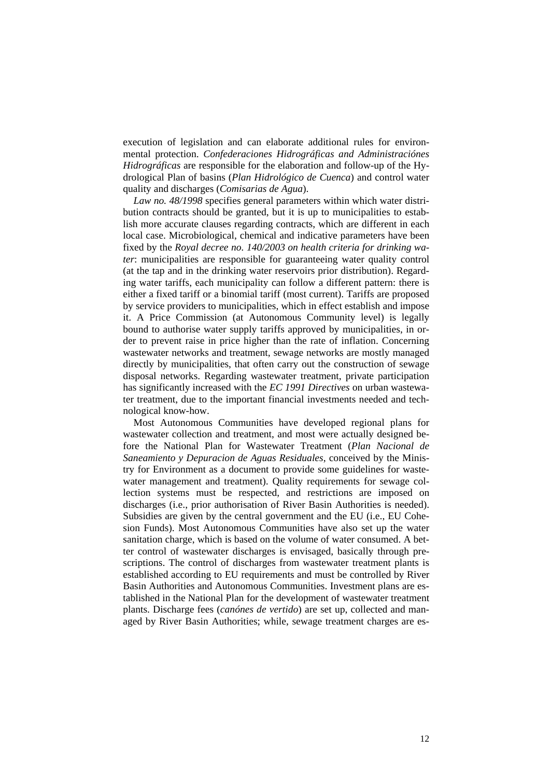execution of legislation and can elaborate additional rules for environmental protection. *Confederaciones Hidrográficas and Administraciónes Hidrográficas* are responsible for the elaboration and follow-up of the Hydrological Plan of basins (*Plan Hidrológico de Cuenca*) and control water quality and discharges (*Comisarias de Agua*).

*Law no. 48/1998* specifies general parameters within which water distribution contracts should be granted, but it is up to municipalities to establish more accurate clauses regarding contracts, which are different in each local case. Microbiological, chemical and indicative parameters have been fixed by the *Royal decree no. 140/2003 on health criteria for drinking water*: municipalities are responsible for guaranteeing water quality control (at the tap and in the drinking water reservoirs prior distribution). Regarding water tariffs, each municipality can follow a different pattern: there is either a fixed tariff or a binomial tariff (most current). Tariffs are proposed by service providers to municipalities, which in effect establish and impose it. A Price Commission (at Autonomous Community level) is legally bound to authorise water supply tariffs approved by municipalities, in order to prevent raise in price higher than the rate of inflation. Concerning wastewater networks and treatment, sewage networks are mostly managed directly by municipalities, that often carry out the construction of sewage disposal networks. Regarding wastewater treatment, private participation has significantly increased with the *EC 1991 Directives* on urban wastewater treatment, due to the important financial investments needed and technological know-how.

Most Autonomous Communities have developed regional plans for wastewater collection and treatment, and most were actually designed before the National Plan for Wastewater Treatment (*Plan Nacional de Saneamiento y Depuracion de Aguas Residuales*, conceived by the Ministry for Environment as a document to provide some guidelines for wastewater management and treatment). Quality requirements for sewage collection systems must be respected, and restrictions are imposed on discharges (i.e., prior authorisation of River Basin Authorities is needed). Subsidies are given by the central government and the EU (i.e., EU Cohesion Funds). Most Autonomous Communities have also set up the water sanitation charge, which is based on the volume of water consumed. A better control of wastewater discharges is envisaged, basically through prescriptions. The control of discharges from wastewater treatment plants is established according to EU requirements and must be controlled by River Basin Authorities and Autonomous Communities. Investment plans are established in the National Plan for the development of wastewater treatment plants. Discharge fees (*canónes de vertido*) are set up, collected and managed by River Basin Authorities; while, sewage treatment charges are es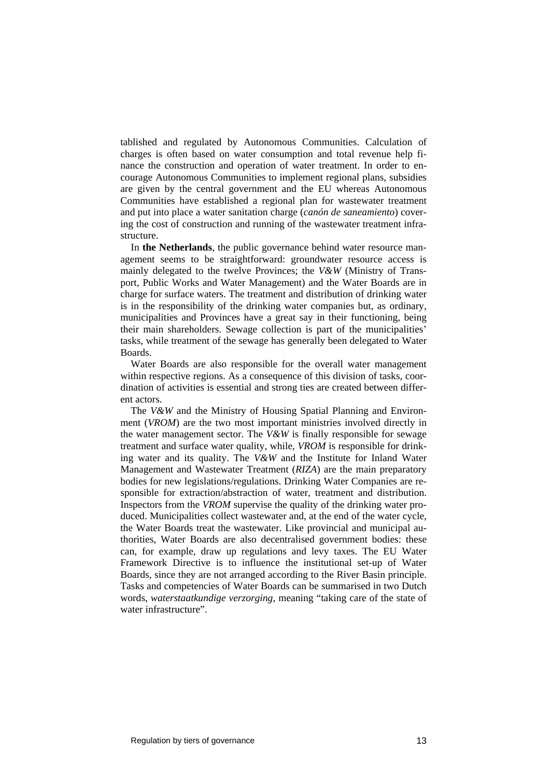tablished and regulated by Autonomous Communities. Calculation of charges is often based on water consumption and total revenue help finance the construction and operation of water treatment. In order to encourage Autonomous Communities to implement regional plans, subsidies are given by the central government and the EU whereas Autonomous Communities have established a regional plan for wastewater treatment and put into place a water sanitation charge (*canón de saneamiento*) covering the cost of construction and running of the wastewater treatment infrastructure.

In **the Netherlands**, the public governance behind water resource management seems to be straightforward: groundwater resource access is mainly delegated to the twelve Provinces; the *V&W* (Ministry of Transport, Public Works and Water Management) and the Water Boards are in charge for surface waters. The treatment and distribution of drinking water is in the responsibility of the drinking water companies but, as ordinary, municipalities and Provinces have a great say in their functioning, being their main shareholders. Sewage collection is part of the municipalities' tasks, while treatment of the sewage has generally been delegated to Water Boards.

Water Boards are also responsible for the overall water management within respective regions. As a consequence of this division of tasks, coordination of activities is essential and strong ties are created between different actors.

The *V&W* and the Ministry of Housing Spatial Planning and Environment (*VROM*) are the two most important ministries involved directly in the water management sector. The *V&W* is finally responsible for sewage treatment and surface water quality, while, *VROM* is responsible for drinking water and its quality. The *V&W* and the Institute for Inland Water Management and Wastewater Treatment (*RIZA*) are the main preparatory bodies for new legislations/regulations. Drinking Water Companies are responsible for extraction/abstraction of water, treatment and distribution. Inspectors from the *VROM* supervise the quality of the drinking water produced. Municipalities collect wastewater and, at the end of the water cycle, the Water Boards treat the wastewater. Like provincial and municipal authorities, Water Boards are also decentralised government bodies: these can, for example, draw up regulations and levy taxes. The EU Water Framework Directive is to influence the institutional set-up of Water Boards, since they are not arranged according to the River Basin principle. Tasks and competencies of Water Boards can be summarised in two Dutch words, *waterstaatkundige verzorging*, meaning "taking care of the state of water infrastructure".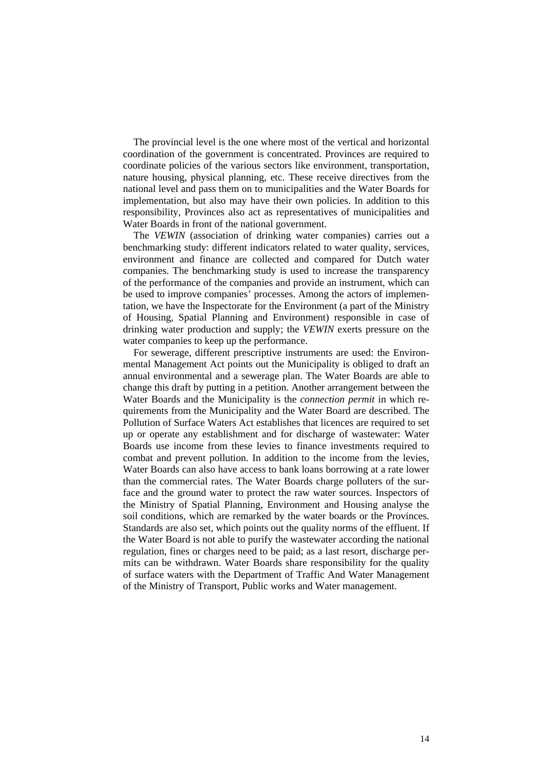The provincial level is the one where most of the vertical and horizontal coordination of the government is concentrated. Provinces are required to coordinate policies of the various sectors like environment, transportation, nature housing, physical planning, etc. These receive directives from the national level and pass them on to municipalities and the Water Boards for implementation, but also may have their own policies. In addition to this responsibility, Provinces also act as representatives of municipalities and Water Boards in front of the national government.

The *VEWIN* (association of drinking water companies) carries out a benchmarking study: different indicators related to water quality, services, environment and finance are collected and compared for Dutch water companies. The benchmarking study is used to increase the transparency of the performance of the companies and provide an instrument, which can be used to improve companies' processes. Among the actors of implementation, we have the Inspectorate for the Environment (a part of the Ministry of Housing, Spatial Planning and Environment) responsible in case of drinking water production and supply; the *VEWIN* exerts pressure on the water companies to keep up the performance.

For sewerage, different prescriptive instruments are used: the Environmental Management Act points out the Municipality is obliged to draft an annual environmental and a sewerage plan. The Water Boards are able to change this draft by putting in a petition. Another arrangement between the Water Boards and the Municipality is the *connection permit* in which requirements from the Municipality and the Water Board are described. The Pollution of Surface Waters Act establishes that licences are required to set up or operate any establishment and for discharge of wastewater: Water Boards use income from these levies to finance investments required to combat and prevent pollution. In addition to the income from the levies, Water Boards can also have access to bank loans borrowing at a rate lower than the commercial rates. The Water Boards charge polluters of the surface and the ground water to protect the raw water sources. Inspectors of the Ministry of Spatial Planning, Environment and Housing analyse the soil conditions, which are remarked by the water boards or the Provinces. Standards are also set, which points out the quality norms of the effluent. If the Water Board is not able to purify the wastewater according the national regulation, fines or charges need to be paid; as a last resort, discharge permits can be withdrawn. Water Boards share responsibility for the quality of surface waters with the Department of Traffic And Water Management of the Ministry of Transport, Public works and Water management.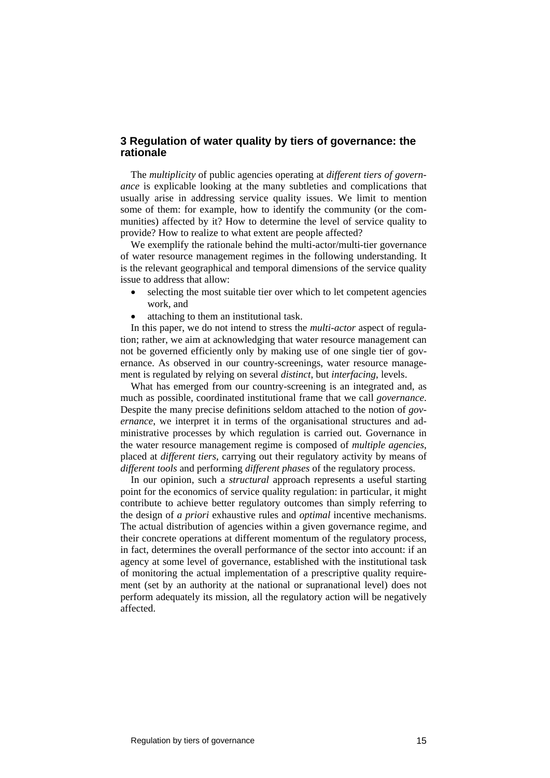## **3 Regulation of water quality by tiers of governance: the rationale**

The *multiplicity* of public agencies operating at *different tiers of governance* is explicable looking at the many subtleties and complications that usually arise in addressing service quality issues. We limit to mention some of them: for example, how to identify the community (or the communities) affected by it? How to determine the level of service quality to provide? How to realize to what extent are people affected?

We exemplify the rationale behind the multi-actor/multi-tier governance of water resource management regimes in the following understanding. It is the relevant geographical and temporal dimensions of the service quality issue to address that allow:

- selecting the most suitable tier over which to let competent agencies work, and
- attaching to them an institutional task.

In this paper, we do not intend to stress the *multi-actor* aspect of regulation; rather, we aim at acknowledging that water resource management can not be governed efficiently only by making use of one single tier of governance. As observed in our country-screenings, water resource management is regulated by relying on several *distinct*, but *interfacing*, levels.

What has emerged from our country-screening is an integrated and, as much as possible, coordinated institutional frame that we call *governance*. Despite the many precise definitions seldom attached to the notion of *governance*, we interpret it in terms of the organisational structures and administrative processes by which regulation is carried out. Governance in the water resource management regime is composed of *multiple agencies*, placed at *different tiers*, carrying out their regulatory activity by means of *different tools* and performing *different phases* of the regulatory process.

In our opinion, such a *structural* approach represents a useful starting point for the economics of service quality regulation: in particular, it might contribute to achieve better regulatory outcomes than simply referring to the design of *a priori* exhaustive rules and *optimal* incentive mechanisms. The actual distribution of agencies within a given governance regime, and their concrete operations at different momentum of the regulatory process, in fact, determines the overall performance of the sector into account: if an agency at some level of governance, established with the institutional task of monitoring the actual implementation of a prescriptive quality requirement (set by an authority at the national or supranational level) does not perform adequately its mission, all the regulatory action will be negatively affected.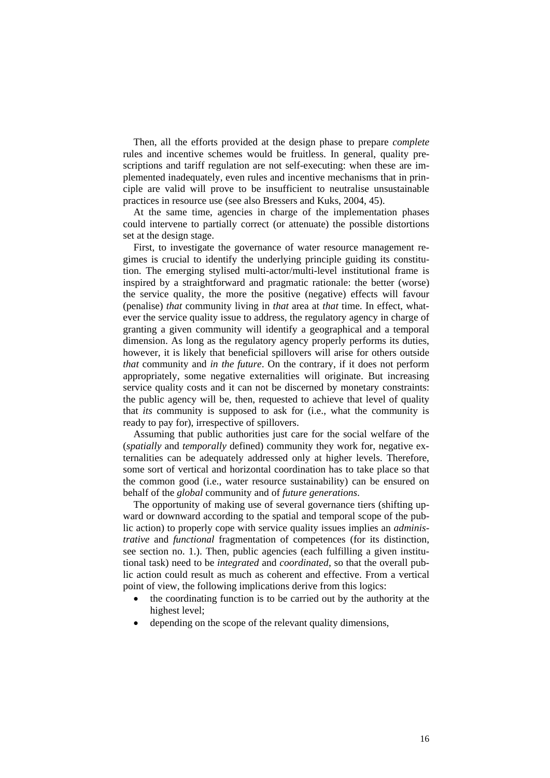Then, all the efforts provided at the design phase to prepare *complete* rules and incentive schemes would be fruitless. In general, quality prescriptions and tariff regulation are not self-executing: when these are implemented inadequately, even rules and incentive mechanisms that in principle are valid will prove to be insufficient to neutralise unsustainable practices in resource use (see also Bressers and Kuks, 2004, 45).

At the same time, agencies in charge of the implementation phases could intervene to partially correct (or attenuate) the possible distortions set at the design stage.

First, to investigate the governance of water resource management regimes is crucial to identify the underlying principle guiding its constitution. The emerging stylised multi-actor/multi-level institutional frame is inspired by a straightforward and pragmatic rationale: the better (worse) the service quality, the more the positive (negative) effects will favour (penalise) *that* community living in *that* area at *that* time. In effect, whatever the service quality issue to address, the regulatory agency in charge of granting a given community will identify a geographical and a temporal dimension. As long as the regulatory agency properly performs its duties, however, it is likely that beneficial spillovers will arise for others outside *that* community and *in the future*. On the contrary, if it does not perform appropriately, some negative externalities will originate. But increasing service quality costs and it can not be discerned by monetary constraints: the public agency will be, then, requested to achieve that level of quality that *its* community is supposed to ask for (i.e., what the community is ready to pay for), irrespective of spillovers.

Assuming that public authorities just care for the social welfare of the (*spatially* and *temporally* defined) community they work for, negative externalities can be adequately addressed only at higher levels. Therefore, some sort of vertical and horizontal coordination has to take place so that the common good (i.e., water resource sustainability) can be ensured on behalf of the *global* community and of *future generations*.

The opportunity of making use of several governance tiers (shifting upward or downward according to the spatial and temporal scope of the public action) to properly cope with service quality issues implies an *administrative* and *functional* fragmentation of competences (for its distinction, see section no. 1.). Then, public agencies (each fulfilling a given institutional task) need to be *integrated* and *coordinated*, so that the overall public action could result as much as coherent and effective. From a vertical point of view, the following implications derive from this logics:

- the coordinating function is to be carried out by the authority at the highest level;
- depending on the scope of the relevant quality dimensions,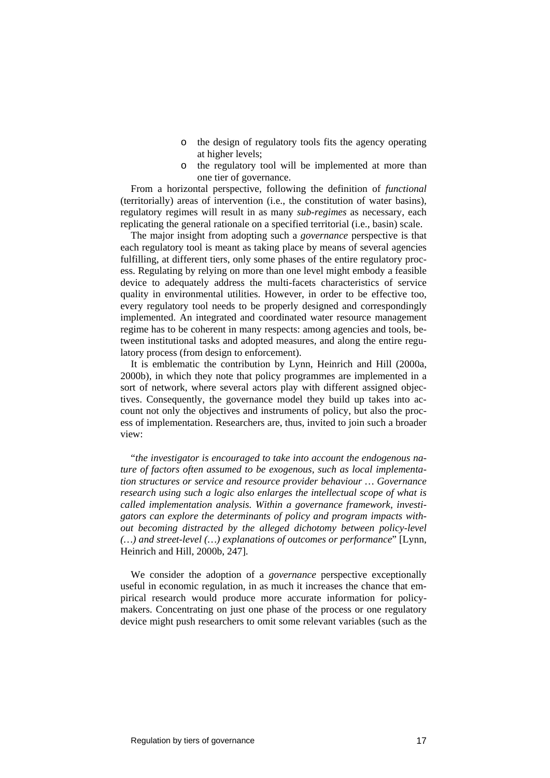- o the design of regulatory tools fits the agency operating at higher levels;
- o the regulatory tool will be implemented at more than one tier of governance.

From a horizontal perspective, following the definition of *functional* (territorially) areas of intervention (i.e., the constitution of water basins), regulatory regimes will result in as many *sub-regimes* as necessary, each replicating the general rationale on a specified territorial (i.e., basin) scale.

The major insight from adopting such a *governance* perspective is that each regulatory tool is meant as taking place by means of several agencies fulfilling, at different tiers, only some phases of the entire regulatory process. Regulating by relying on more than one level might embody a feasible device to adequately address the multi-facets characteristics of service quality in environmental utilities. However, in order to be effective too, every regulatory tool needs to be properly designed and correspondingly implemented. An integrated and coordinated water resource management regime has to be coherent in many respects: among agencies and tools, between institutional tasks and adopted measures, and along the entire regulatory process (from design to enforcement).

It is emblematic the contribution by Lynn, Heinrich and Hill (2000a, 2000b), in which they note that policy programmes are implemented in a sort of network, where several actors play with different assigned objectives. Consequently, the governance model they build up takes into account not only the objectives and instruments of policy, but also the process of implementation. Researchers are, thus, invited to join such a broader view:

"*the investigator is encouraged to take into account the endogenous nature of factors often assumed to be exogenous, such as local implementation structures or service and resource provider behaviour … Governance research using such a logic also enlarges the intellectual scope of what is called implementation analysis. Within a governance framework, investigators can explore the determinants of policy and program impacts without becoming distracted by the alleged dichotomy between policy-level (…) and street-level (…) explanations of outcomes or performance*" [Lynn, Heinrich and Hill, 2000b, 247].

We consider the adoption of a *governance* perspective exceptionally useful in economic regulation, in as much it increases the chance that empirical research would produce more accurate information for policymakers. Concentrating on just one phase of the process or one regulatory device might push researchers to omit some relevant variables (such as the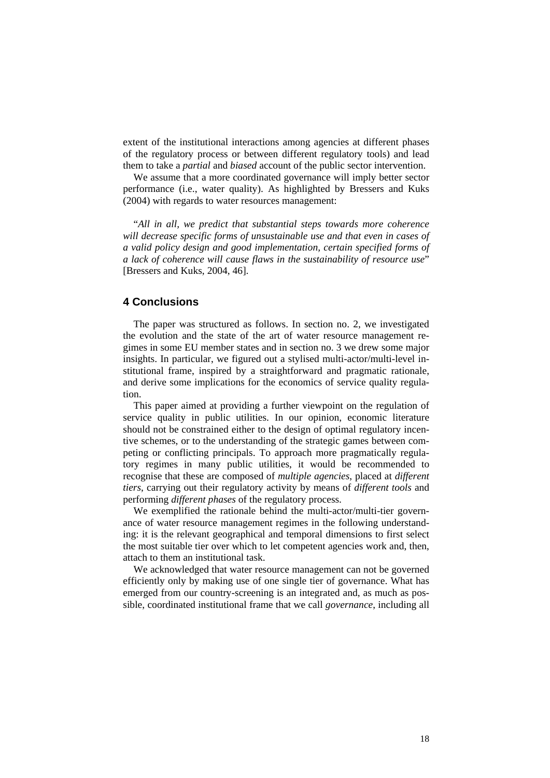extent of the institutional interactions among agencies at different phases of the regulatory process or between different regulatory tools) and lead them to take a *partial* and *biased* account of the public sector intervention.

We assume that a more coordinated governance will imply better sector performance (i.e., water quality). As highlighted by Bressers and Kuks (2004) with regards to water resources management:

"*All in all, we predict that substantial steps towards more coherence will decrease specific forms of unsustainable use and that even in cases of a valid policy design and good implementation, certain specified forms of a lack of coherence will cause flaws in the sustainability of resource use*" [Bressers and Kuks, 2004, 46].

# **4 Conclusions**

The paper was structured as follows. In section no. 2, we investigated the evolution and the state of the art of water resource management regimes in some EU member states and in section no. 3 we drew some major insights. In particular, we figured out a stylised multi-actor/multi-level institutional frame, inspired by a straightforward and pragmatic rationale, and derive some implications for the economics of service quality regulation.

This paper aimed at providing a further viewpoint on the regulation of service quality in public utilities. In our opinion, economic literature should not be constrained either to the design of optimal regulatory incentive schemes, or to the understanding of the strategic games between competing or conflicting principals. To approach more pragmatically regulatory regimes in many public utilities, it would be recommended to recognise that these are composed of *multiple agencies*, placed at *different tiers*, carrying out their regulatory activity by means of *different tools* and performing *different phases* of the regulatory process.

We exemplified the rationale behind the multi-actor/multi-tier governance of water resource management regimes in the following understanding: it is the relevant geographical and temporal dimensions to first select the most suitable tier over which to let competent agencies work and, then, attach to them an institutional task.

We acknowledged that water resource management can not be governed efficiently only by making use of one single tier of governance. What has emerged from our country-screening is an integrated and, as much as possible, coordinated institutional frame that we call *governance*, including all